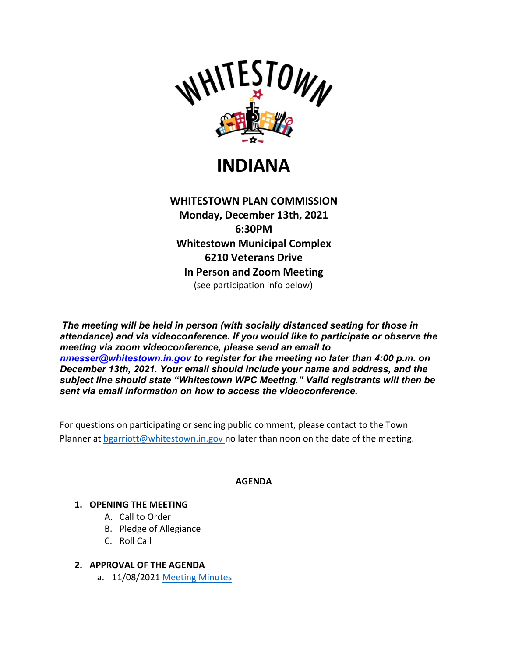

**INDIANA**

**WHITESTOWN PLAN COMMISSION Monday, December 13th, 2021 6:30PM Whitestown Municipal Complex 6210 Veterans Drive In Person and Zoom Meeting** (see participation info below)

*The meeting will be held in person (with socially distanced seating for those in attendance) and via videoconference. If you would like to participate or observe the meeting via zoom videoconference, please send an email to nmesser@whitestown.in.gov to register for the meeting no later than 4:00 p.m. on December 13th, 2021. Your email should include your name and address, and the subject line should state "Whitestown WPC Meeting." Valid registrants will then be sent via email information on how to access the videoconference.*

For questions on participating or sending public comment, please contact to the Town Planner at [bgarriott@whitestown.in.gov n](mailto:bgarriott@whitestown.in.gov)o later than noon on the date of the meeting.

## **AGENDA**

## **1. OPENING THE MEETING**

- A. Call to Order
- B. Pledge of Allegiance
- C. Roll Call
- **2. APPROVAL OF THE AGENDA**
	- a. 11/08/202[1 Meeting Minutes](https://whitestown.in.gov/vertical/sites/%7BB8BE8AC3-9DE8-4247-BCB0-1173F48CC7C3%7D/uploads/11-08-21_WPC_Meeting_Minutes.pdf)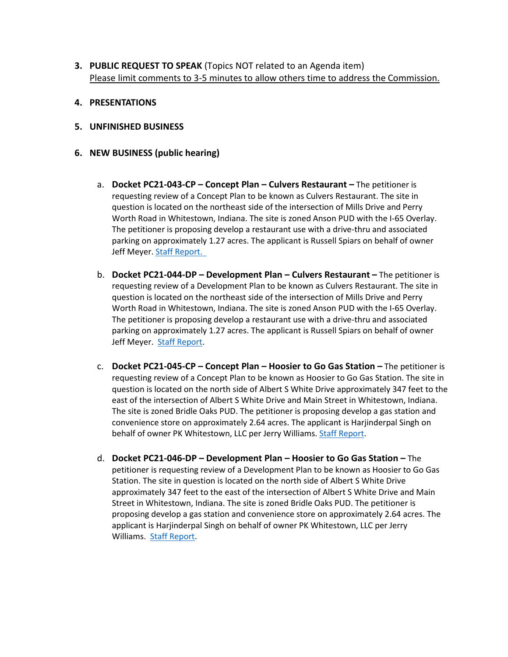- **3. PUBLIC REQUEST TO SPEAK** (Topics NOT related to an Agenda item) Please limit comments to 3-5 minutes to allow others time to address the Commission.
- **4. PRESENTATIONS**
- **5. UNFINISHED BUSINESS**
- **6. NEW BUSINESS (public hearing)**
	- a. **Docket PC21-043-CP – Concept Plan – Culvers Restaurant –** The petitioner is requesting review of a Concept Plan to be known as Culvers Restaurant. The site in question is located on the northeast side of the intersection of Mills Drive and Perry Worth Road in Whitestown, Indiana. The site is zoned Anson PUD with the I-65 Overlay. The petitioner is proposing develop a restaurant use with a drive-thru and associated parking on approximately 1.27 acres. The applicant is Russell Spiars on behalf of owner Jeff Meyer. [Staff Report.](https://whitestown.in.gov/vertical/sites/%7BB8BE8AC3-9DE8-4247-BCB0-1173F48CC7C3%7D/uploads/PC21-043-CP_Staff_Report.pdf)
	- b. **Docket PC21-044-DP – Development Plan – Culvers Restaurant –** The petitioner is requesting review of a Development Plan to be known as Culvers Restaurant. The site in question is located on the northeast side of the intersection of Mills Drive and Perry Worth Road in Whitestown, Indiana. The site is zoned Anson PUD with the I-65 Overlay. The petitioner is proposing develop a restaurant use with a drive-thru and associated parking on approximately 1.27 acres. The applicant is Russell Spiars on behalf of owner Jeff Meyer. [Staff Report.](https://whitestown.in.gov/vertical/sites/%7BB8BE8AC3-9DE8-4247-BCB0-1173F48CC7C3%7D/uploads/PC21-044-DP_Staff_Report.pdf)
	- c. **Docket PC21-045-CP – Concept Plan – Hoosier to Go Gas Station –** The petitioner is requesting review of a Concept Plan to be known as Hoosier to Go Gas Station. The site in question is located on the north side of Albert S White Drive approximately 347 feet to the east of the intersection of Albert S White Drive and Main Street in Whitestown, Indiana. The site is zoned Bridle Oaks PUD. The petitioner is proposing develop a gas station and convenience store on approximately 2.64 acres. The applicant is Harjinderpal Singh on behalf of owner PK Whitestown, LLC per Jerry Williams. [Staff Report.](https://whitestown.in.gov/vertical/sites/%7BB8BE8AC3-9DE8-4247-BCB0-1173F48CC7C3%7D/uploads/PC21-045-CP_Staff_Report.pdf)
	- d. **Docket PC21-046-DP – Development Plan – Hoosier to Go Gas Station –** The petitioner is requesting review of a Development Plan to be known as Hoosier to Go Gas Station. The site in question is located on the north side of Albert S White Drive approximately 347 feet to the east of the intersection of Albert S White Drive and Main Street in Whitestown, Indiana. The site is zoned Bridle Oaks PUD. The petitioner is proposing develop a gas station and convenience store on approximately 2.64 acres. The applicant is Harjinderpal Singh on behalf of owner PK Whitestown, LLC per Jerry Williams. [Staff Report.](https://whitestown.in.gov/vertical/sites/%7BB8BE8AC3-9DE8-4247-BCB0-1173F48CC7C3%7D/uploads/PC21-046-DP_Staff_Report(1).pdf)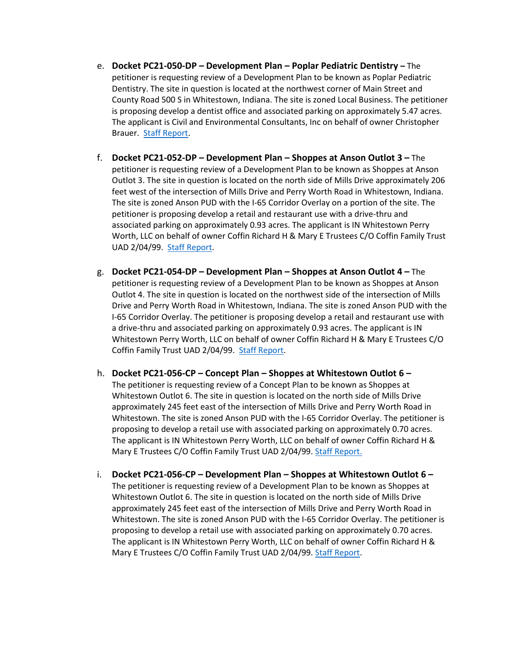- e. **Docket PC21-050-DP – Development Plan – Poplar Pediatric Dentistry –** The petitioner is requesting review of a Development Plan to be known as Poplar Pediatric Dentistry. The site in question is located at the northwest corner of Main Street and County Road 500 S in Whitestown, Indiana. The site is zoned Local Business. The petitioner is proposing develop a dentist office and associated parking on approximately 5.47 acres. The applicant is Civil and Environmental Consultants, Inc on behalf of owner Christopher Brauer. [Staff Report.](https://whitestown.in.gov/vertical/sites/%7BB8BE8AC3-9DE8-4247-BCB0-1173F48CC7C3%7D/uploads/PC21-050-DP_Staff_Report.pdf)
- f. **Docket PC21-052-DP – Development Plan – Shoppes at Anson Outlot 3 –** The petitioner is requesting review of a Development Plan to be known as Shoppes at Anson Outlot 3. The site in question is located on the north side of Mills Drive approximately 206 feet west of the intersection of Mills Drive and Perry Worth Road in Whitestown, Indiana. The site is zoned Anson PUD with the I-65 Corridor Overlay on a portion of the site. The petitioner is proposing develop a retail and restaurant use with a drive-thru and associated parking on approximately 0.93 acres. The applicant is IN Whitestown Perry Worth, LLC on behalf of owner Coffin Richard H & Mary E Trustees C/O Coffin Family Trust UAD 2/04/99. [Staff Report.](https://whitestown.in.gov/vertical/sites/%7BB8BE8AC3-9DE8-4247-BCB0-1173F48CC7C3%7D/uploads/Staff_Report_PC21-052-DP.pdf)
- g. **Docket PC21-054-DP – Development Plan – Shoppes at Anson Outlot 4 –** The petitioner is requesting review of a Development Plan to be known as Shoppes at Anson Outlot 4. The site in question is located on the northwest side of the intersection of Mills Drive and Perry Worth Road in Whitestown, Indiana. The site is zoned Anson PUD with the I-65 Corridor Overlay. The petitioner is proposing develop a retail and restaurant use with a drive-thru and associated parking on approximately 0.93 acres. The applicant is IN Whitestown Perry Worth, LLC on behalf of owner Coffin Richard H & Mary E Trustees C/O Coffin Family Trust UAD 2/04/99. [Staff Report.](https://whitestown.in.gov/vertical/sites/%7BB8BE8AC3-9DE8-4247-BCB0-1173F48CC7C3%7D/uploads/Staff_Report_PC21-054-DP.pdf)
- h. **Docket PC21-056-CP – Concept Plan – Shoppes at Whitestown Outlot 6 –** The petitioner is requesting review of a Concept Plan to be known as Shoppes at Whitestown Outlot 6. The site in question is located on the north side of Mills Drive approximately 245 feet east of the intersection of Mills Drive and Perry Worth Road in Whitestown. The site is zoned Anson PUD with the I-65 Corridor Overlay. The petitioner is proposing to develop a retail use with associated parking on approximately 0.70 acres. The applicant is IN Whitestown Perry Worth, LLC on behalf of owner Coffin Richard H & Mary E Trustees C/O Coffin Family Trust UAD 2/04/99. [Staff Report.](https://whitestown.in.gov/vertical/sites/%7BB8BE8AC3-9DE8-4247-BCB0-1173F48CC7C3%7D/uploads/PC21-056-CP_Staff_Report.pdf)
- i. **Docket PC21-056-CP – Development Plan – Shoppes at Whitestown Outlot 6 –** The petitioner is requesting review of a Development Plan to be known as Shoppes at Whitestown Outlot 6. The site in question is located on the north side of Mills Drive approximately 245 feet east of the intersection of Mills Drive and Perry Worth Road in Whitestown. The site is zoned Anson PUD with the I-65 Corridor Overlay. The petitioner is proposing to develop a retail use with associated parking on approximately 0.70 acres. The applicant is IN Whitestown Perry Worth, LLC on behalf of owner Coffin Richard H & Mary E Trustees C/O Coffin Family Trust UAD 2/04/99. [Staff Report.](https://whitestown.in.gov/vertical/sites/%7BB8BE8AC3-9DE8-4247-BCB0-1173F48CC7C3%7D/uploads/PC21-057-DP_Staff_Report.pdf)